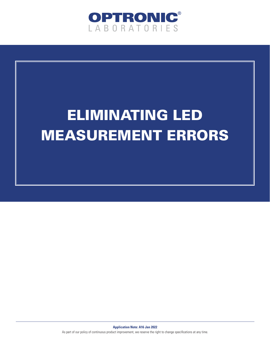

# ELIMINATING LED MEASUREMENT ERRORS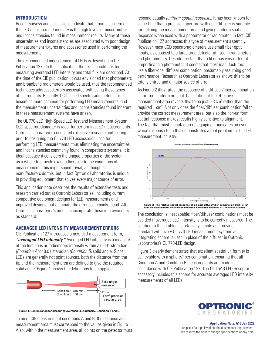## **INTRODUCTION**

Recent surveys and discussions indicate that a prime concern of the LED measurement industry is the high levels of uncertainties and inconsistencies found in measurement results. Many of these uncertainties and inconsistencies are associated with poor design of measurement fixtures and accessories used in performing the measurements.

The recommended measurement of LEDs is described in CIE Publication 127. In this publication, the exact conditions for measuring averaged LED intensity and total flux are described. At the time of the CIE publication, it was envisioned that photometers and broadband radiometers would be used, thus the recommended techniques addressed errors associated with using these types of instruments. Recently, CCD based spectroradiometers are becoming more common for performing LED measurements, and the measurement uncertainties and inconsistencies found inherent in these measurement systems have arisen.

The OL 770-LED High-Speed LED Test and Measurement System CCD spectroradiometer is ideal for performing LED measurements. Optronic Laboratories conducted extensive research and testing prior to designing the OL 770-LED accessories used for performing LED measurements, thus eliminating the uncertainties and inconsistencies commonly found in competitor's systems. It is ideal because it considers the unique properties of the system as a whole to provide exact adherence to the conditions of measurement. This might sound trivial, as though all manufacturers do this, but in fact Optronic Laboratories is unique in providing equipment that solves every major source of error.

This application note describes the results of extensive tests and research carried out at Optronic Laboratories, including current competitive equipment designs for LED measurements and improved designs that eliminate the errors commonly found. All Optronic Laboratories's products incorporate these improvements as standard.

## **AVERAGED LED INTENSITY MEASUREMENT ERRORS**

CIE Publication 127 introduced a new LED measurement term, *"averaged LED intensity."* Averaged LED intensity is a measure of the luminous or radiometric intensity within a 0.001 steradian *(Condition A)* or 0.01 steradian *(Condition B)* solid angle. Since LEDs are generally not point sources, both the distance from the tip and the measurement area are defined to give the required solid angle. Figure 1 shows the definitions to be applied.



Figure 1. Configuration for measuring averaged LED intensity, Condition A and B.

To meet CIE measurement conditions A and B, the distance and measurement area must correspond to the values given in Figure 1. Also, within the measurement area, all points on the detector must respond equally *(uniform spatial response)*. It has been known for some time that a precision aperture with opal diffuser is suitable for defining the measurement area and giving uniform spatial response when used with a photometer or radiometer. In fact, CIE Publication 127 addresses this type of measurement assembly. However, most CCD spectroradiometers use small fiber optic inputs, as opposed to a large area detector utilized in radiometers and photometers. Despite the fact that a fiber has very different properties to a photometer, it seems that most manufacturers use a fiber/opal diffuser combination, presumably assuming good performance. Research at Optronic Laboratories shows this to be totally untrue and a major source of error.

As Figure 2 illustrates, the response of a diffuser/fiber combination is far from uniform or ideal. Calculation of the effective measurement area reveals this to be just 0.3 cm<sup>2</sup> rather than the required 1 cm<sup>2</sup>. Not only does the fiber/diffuser combination fail to provide the correct measurement area, but also the non-uniform spatial response makes results highly sensitive to alignment. The fact that most manufacturers' equipment indicates an even worse response than this demonstrates a real problem for the LED measurement industry.



The conclusion is inescapable: fiber/diffuser combinations must be avoided if averaged LED intensity is to be correctly measured. The solution to this problem is relatively simple and provided standard with every OL 770-LED measurement system: an integrating sphere is used in place of the diffuser in Optronic Laboratories's OL 770-LED design.

Figure 3 clearly demonstrates that excellent spatial uniformity is achievable with a sphere/fiber combination, ensuring that all Condition A and Condition B measurements are made in accordance with CIE Publication 127. The OL 15AB LED Receptor accessory includes this sphere for accurate averaged LED intensity measurements of all LEDs.



**Application Note: A16 Jan 2022** As part of our policy of continuous product improvement, we reserve the right to change specifications at any time.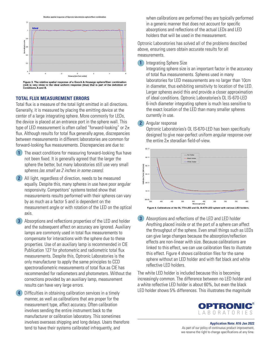

Figure 3. The relative spatial response of a Gooch & Housego sphere/fiber combination<br>(red) is very close to the ideal uniform response (blue) that is part of the definition of<br>Conditions A and B.

#### **TOTAL FLUX MEASUREMENT ERRORS**

Total flux is a measure of the total light emitted in all directions. Generally, it is measured by placing the emitting device at the center of a large integrating sphere. More commonly for LEDs, the device is placed at an entrance port in the sphere wall. This type of LED measurement is often called "forward-looking" or  $2\pi$ flux. Although results for total flux generally agree, discrepancies between measurements in different laboratories are common for forward-looking flux measurements. Discrepancies are due to:

- **1** The exact conditions for measuring forward-looking flux have not been fixed. It is generally agreed that the larger the sphere the better, but many laboratories still use very small spheres *(as small as 2 inches in some cases)*.
- **2** All light, regardless of direction, needs to be measured equally. Despite this, many spheres in use have poor angular responsivity. Competitors' systems tested show that measurements results performed with their spheres can vary by as much as a factor 5 and is dependent on the measurement angle or with rotation of the LED on the optical axis.
- **3** Absorptions and reflections properties of the LED and holder and the subsequent affect on accuracy are ignored. Auxiliary lamps are commonly used in total flux measurements to compensate for interactions with the sphere due to these properties. Use of an auxiliary lamp is recommended in CIE Publication 127 for photometric and radiometric total flux measurements. Despite this, Optronic Laboratories is the only manufacturer to apply the same principles to CCD spectroradiometric measurements of total flux as CIE has recommended for radiometers and photometers. Without the corrections provided by an auxiliary lamp, measurement results can have very large errors.

 **4** Difficulties in obtaining calibration services in a timely manner, as well as calibrations that are proper for the measurement type, affect accuracy. Often calibration involves sending the entire instrument back to the manufacturer or calibration laboratory. This sometimes involves overseas shipping and long delays. Users therefore tend to have their systems calibrated infrequently, and

 when calibrations are performed they are typically performed in a generic manner that does not account for specific absorptions and reflections of the actual LEDs and LED holders that will be used in the measurement.

Optronic Laboratories has solved all of the problems described above, ensuring users obtain accurate results for all measurements.

## **1** Integrating Sphere Size

 Integrating sphere size is an important factor in the accuracy of total flux measurements. Spheres used in many laboratories for LED measurements are no larger than 10cm in diameter, thus exhibiting sensitivity to location of the LED. Larger spheres avoid this and provide a closer approximation of ideal conditions. Optronic Laboratories's OL IS-670-LED 6-inch diameter integrating sphere is much less sensitive to the exact location of the LED than many smaller spheres currently in use.

## **2** Angular response

 Optronic Laboratories's OL IS-670-LED has been specifically designed to give near-perfect uniform angular response over the entire  $2\pi$  steradian field-of-view.



 **3** Absorptions and reflections of the LED and LED holder Anything placed inside or at the port of a sphere can affect the throughput of the sphere. Even small things such as LEDs can give large changes because the absorption/reflection effects are non-linear with size. Because calibrations are linked to this effect, we can use calibration files to illustrate this effect. Figure 4 shows calibration files for the same sphere without an LED holder and with flat black and white reflective LED holders.

The white LED holder is included because this is becoming increasingly common. The difference between no LED holder and a white reflective LED holder is about 60%, but even the black LED holder shows 5% differences. This illustrates the magnitude



**Application Note: A16 Jan 2022** As part of our policy of continuous product improvement, we reserve the right to change specifications at any time.